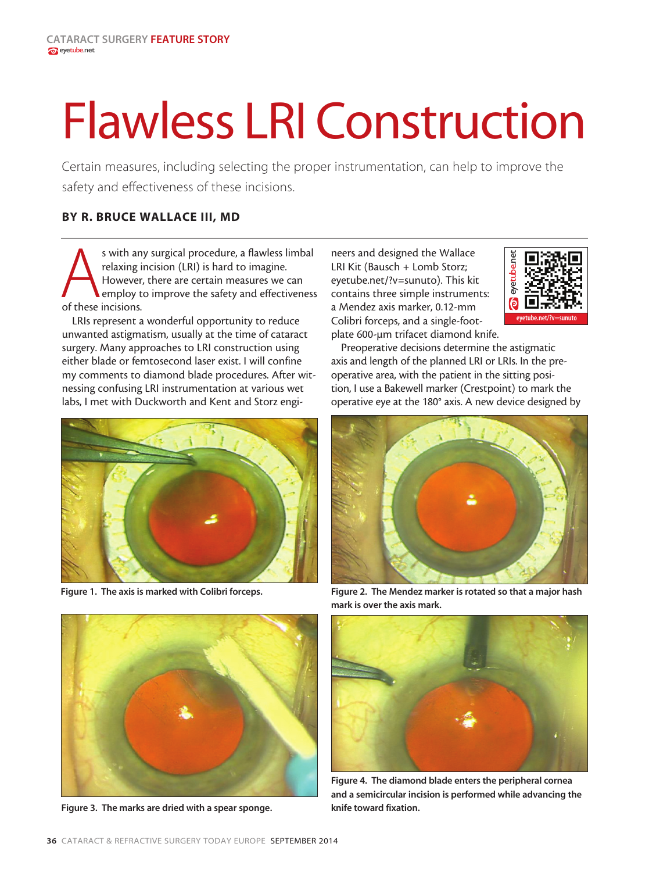## **Flawless LRI Construction**

Certain measures, including selecting the proper instrumentation, can help to improve the safety and effectiveness of these incisions.

## BY R. BRUCE WALLACE III, MD

s with any surgical procedure, a flawless limbal<br>relaxing incision (LRI) is hard to imagine.<br>However, there are certain measures we can<br>employ to improve the safety and effectiveness<br>of these incisions. relaxing incision (LRI) is hard to imagine. However, there are certain measures we can employ to improve the safety and effectiveness of these incisions.

LRIs represent a wonderful opportunity to reduce unwanted astigmatism, usually at the time of cataract surgery. Many approaches to LRI construction using either blade or femtosecond laser exist. I will confine my comments to diamond blade procedures. After witnessing confusing LRI instrumentation at various wet labs, I met with Duckworth and Kent and Storz engi-



Figure 1. The axis is marked with Colibri forceps.



Figure 3. The marks are dried with a spear sponge.

neers and designed the Wallace LRI Kit (Bausch + Lomb Storz; eyetube.net/?v=sunuto). This kit contains three simple instruments: a Mendez axis marker, 0.12-mm Colibri forceps, and a single-footplate 600-µm trifacet diamond knife.



Preoperative decisions determine the astigmatic axis and length of the planned LRI or LRIs. In the preoperative area, with the patient in the sitting position, I use a Bakewell marker (Crestpoint) to mark the operative eye at the 180° axis. A new device designed by



Figure 2. The Mendez marker is rotated so that a major hash mark is over the axis mark.



Figure 4. The diamond blade enters the peripheral cornea and a semicircular incision is performed while advancing the knife toward fixation.